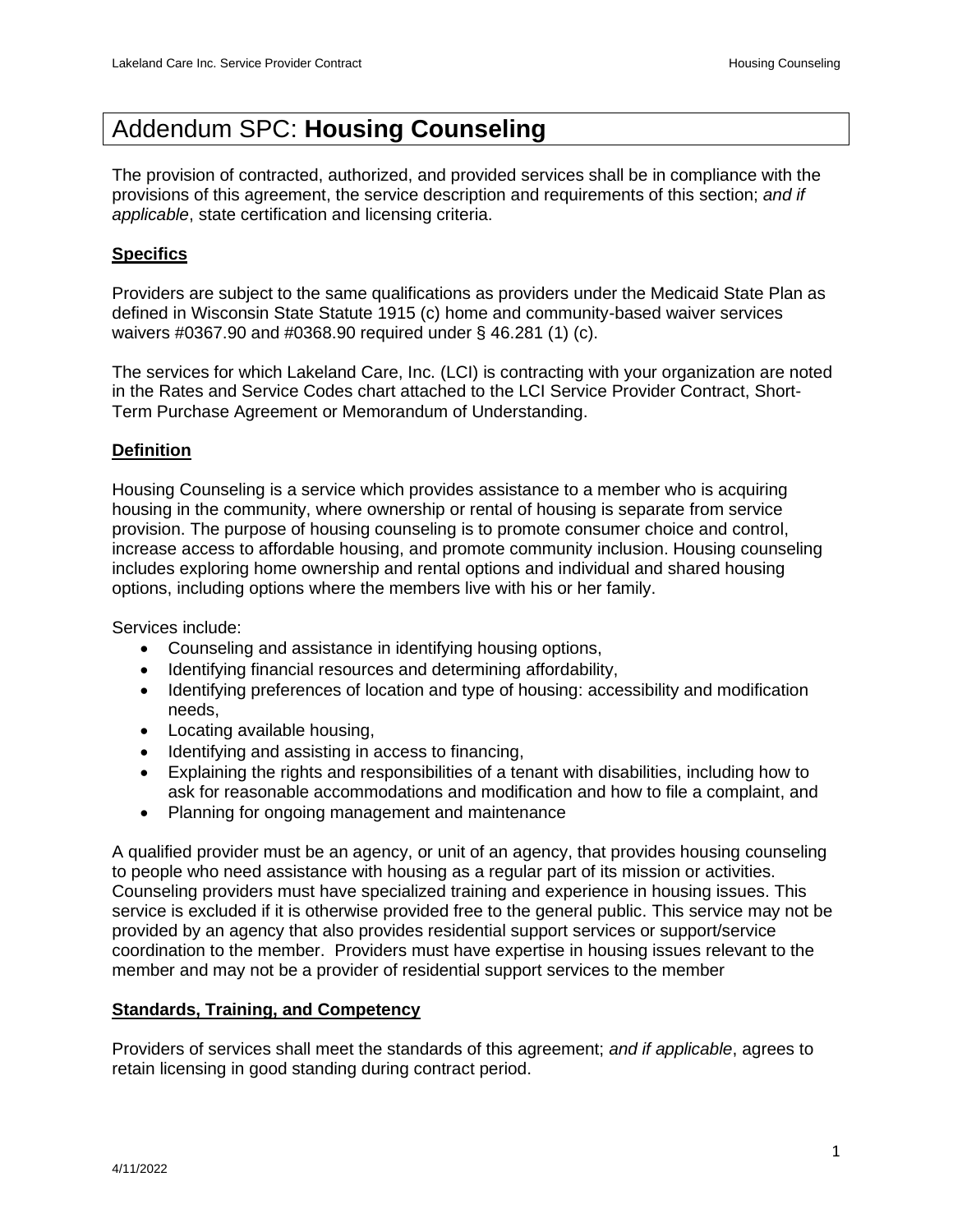# Addendum SPC: **Housing Counseling**

The provision of contracted, authorized, and provided services shall be in compliance with the provisions of this agreement, the service description and requirements of this section; *and if applicable*, state certification and licensing criteria.

## **Specifics**

Providers are subject to the same qualifications as providers under the Medicaid State Plan as defined in Wisconsin State Statute 1915 (c) home and community-based waiver services waivers #0367.90 and #0368.90 required under § 46.281 (1) (c).

The services for which Lakeland Care, Inc. (LCI) is contracting with your organization are noted in the Rates and Service Codes chart attached to the LCI Service Provider Contract, Short-Term Purchase Agreement or Memorandum of Understanding.

## **Definition**

Housing Counseling is a service which provides assistance to a member who is acquiring housing in the community, where ownership or rental of housing is separate from service provision. The purpose of housing counseling is to promote consumer choice and control, increase access to affordable housing, and promote community inclusion. Housing counseling includes exploring home ownership and rental options and individual and shared housing options, including options where the members live with his or her family.

Services include:

- Counseling and assistance in identifying housing options,
- Identifying financial resources and determining affordability,
- Identifying preferences of location and type of housing: accessibility and modification needs,
- Locating available housing,
- Identifying and assisting in access to financing,
- Explaining the rights and responsibilities of a tenant with disabilities, including how to ask for reasonable accommodations and modification and how to file a complaint, and
- Planning for ongoing management and maintenance

A qualified provider must be an agency, or unit of an agency, that provides housing counseling to people who need assistance with housing as a regular part of its mission or activities. Counseling providers must have specialized training and experience in housing issues. This service is excluded if it is otherwise provided free to the general public. This service may not be provided by an agency that also provides residential support services or support/service coordination to the member. Providers must have expertise in housing issues relevant to the member and may not be a provider of residential support services to the member

## **Standards, Training, and Competency**

Providers of services shall meet the standards of this agreement; *and if applicable*, agrees to retain licensing in good standing during contract period.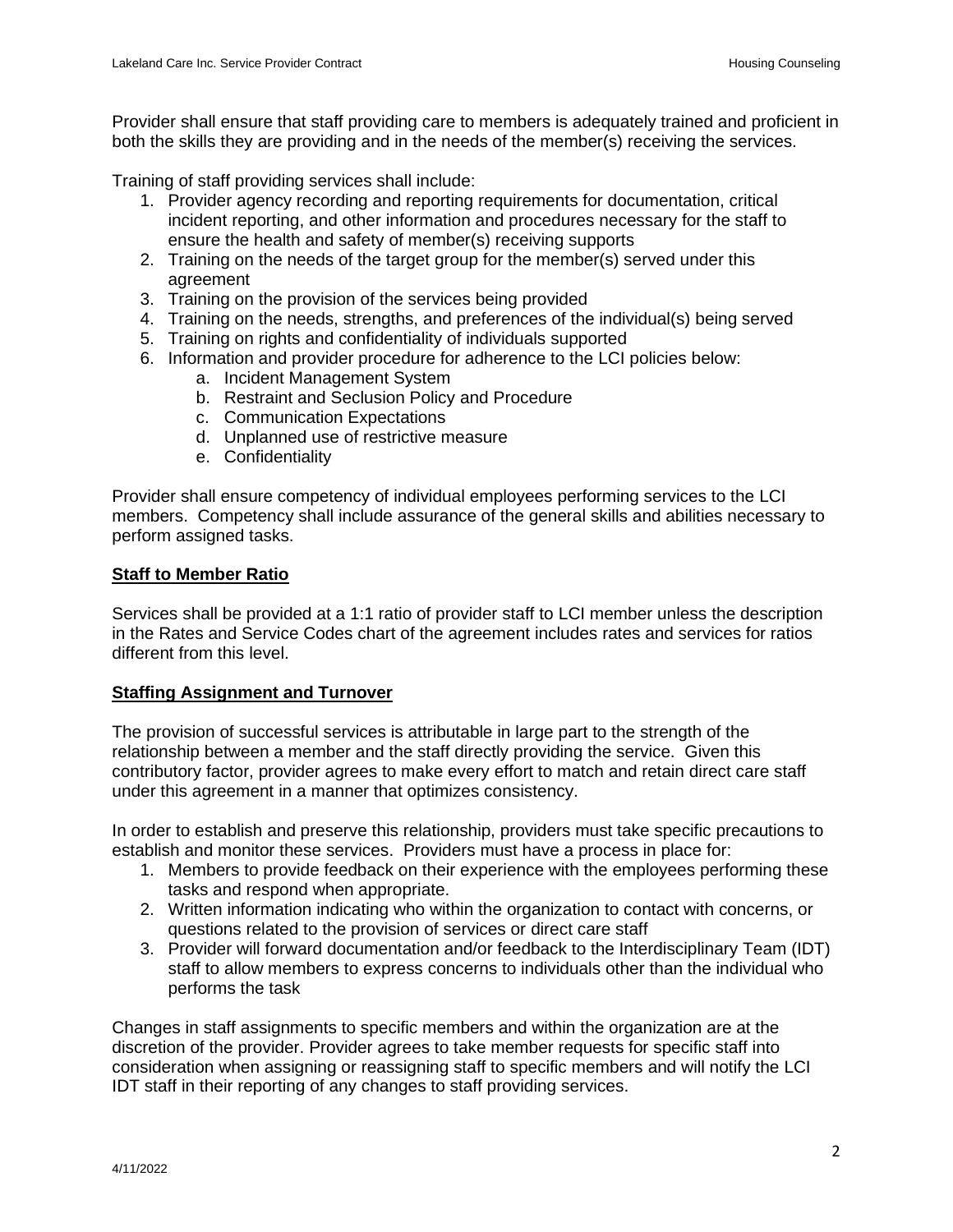Provider shall ensure that staff providing care to members is adequately trained and proficient in both the skills they are providing and in the needs of the member(s) receiving the services.

Training of staff providing services shall include:

- 1. Provider agency recording and reporting requirements for documentation, critical incident reporting, and other information and procedures necessary for the staff to ensure the health and safety of member(s) receiving supports
- 2. Training on the needs of the target group for the member(s) served under this agreement
- 3. Training on the provision of the services being provided
- 4. Training on the needs, strengths, and preferences of the individual(s) being served
- 5. Training on rights and confidentiality of individuals supported
- 6. Information and provider procedure for adherence to the LCI policies below:
	- a. Incident Management System
	- b. Restraint and Seclusion Policy and Procedure
	- c. Communication Expectations
	- d. Unplanned use of restrictive measure
	- e. Confidentiality

Provider shall ensure competency of individual employees performing services to the LCI members. Competency shall include assurance of the general skills and abilities necessary to perform assigned tasks.

### **Staff to Member Ratio**

Services shall be provided at a 1:1 ratio of provider staff to LCI member unless the description in the Rates and Service Codes chart of the agreement includes rates and services for ratios different from this level.

## **Staffing Assignment and Turnover**

The provision of successful services is attributable in large part to the strength of the relationship between a member and the staff directly providing the service. Given this contributory factor, provider agrees to make every effort to match and retain direct care staff under this agreement in a manner that optimizes consistency.

In order to establish and preserve this relationship, providers must take specific precautions to establish and monitor these services. Providers must have a process in place for:

- 1. Members to provide feedback on their experience with the employees performing these tasks and respond when appropriate.
- 2. Written information indicating who within the organization to contact with concerns, or questions related to the provision of services or direct care staff
- 3. Provider will forward documentation and/or feedback to the Interdisciplinary Team (IDT) staff to allow members to express concerns to individuals other than the individual who performs the task

Changes in staff assignments to specific members and within the organization are at the discretion of the provider. Provider agrees to take member requests for specific staff into consideration when assigning or reassigning staff to specific members and will notify the LCI IDT staff in their reporting of any changes to staff providing services.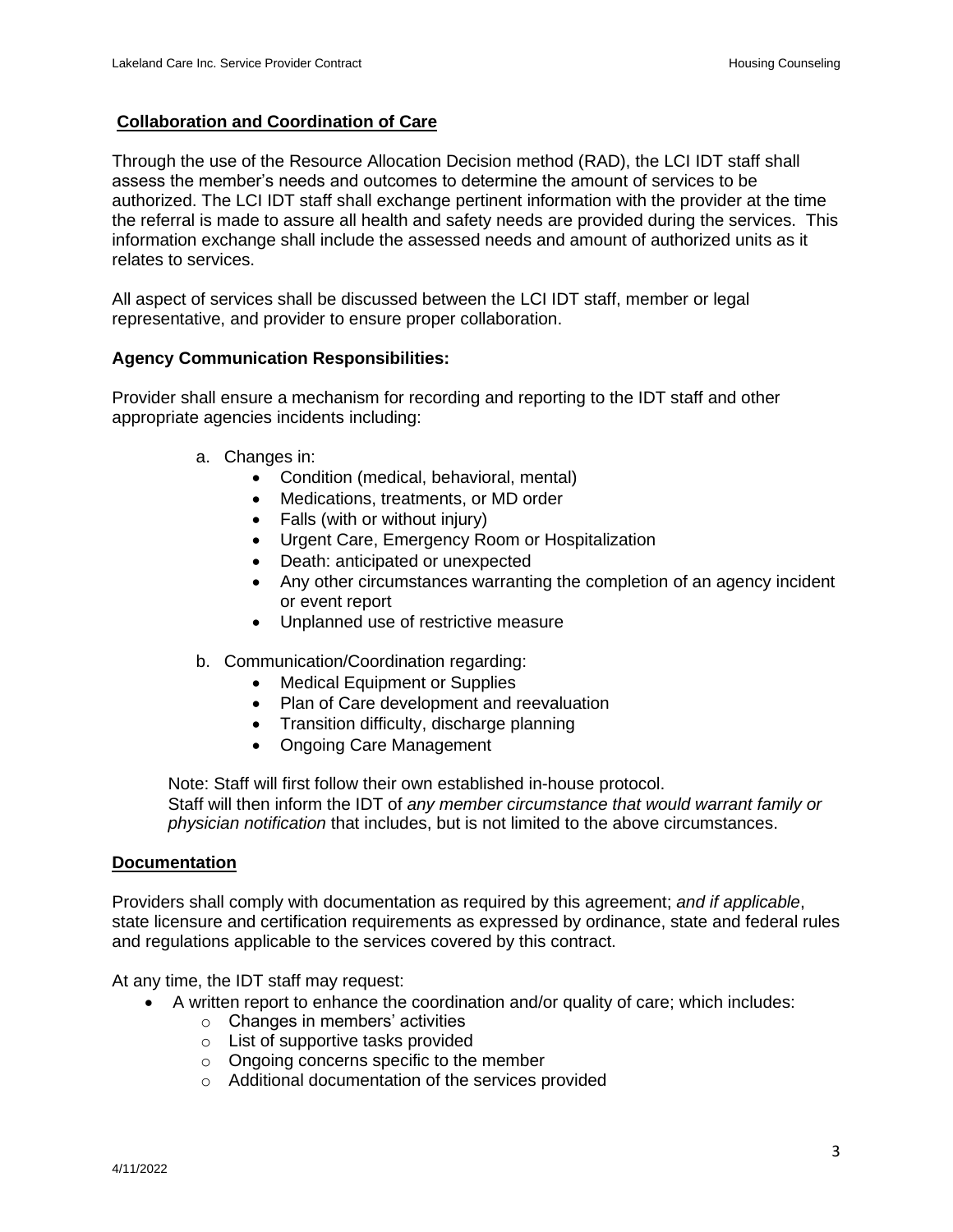## **Collaboration and Coordination of Care**

Through the use of the Resource Allocation Decision method (RAD), the LCI IDT staff shall assess the member's needs and outcomes to determine the amount of services to be authorized. The LCI IDT staff shall exchange pertinent information with the provider at the time the referral is made to assure all health and safety needs are provided during the services. This information exchange shall include the assessed needs and amount of authorized units as it relates to services.

All aspect of services shall be discussed between the LCI IDT staff, member or legal representative, and provider to ensure proper collaboration.

### **Agency Communication Responsibilities:**

Provider shall ensure a mechanism for recording and reporting to the IDT staff and other appropriate agencies incidents including:

- a. Changes in:
	- Condition (medical, behavioral, mental)
	- Medications, treatments, or MD order
	- Falls (with or without injury)
	- Urgent Care, Emergency Room or Hospitalization
	- Death: anticipated or unexpected
	- Any other circumstances warranting the completion of an agency incident or event report
	- Unplanned use of restrictive measure
- b. Communication/Coordination regarding:
	- Medical Equipment or Supplies
	- Plan of Care development and reevaluation
	- Transition difficulty, discharge planning
	- Ongoing Care Management

Note: Staff will first follow their own established in-house protocol. Staff will then inform the IDT of *any member circumstance that would warrant family or physician notification* that includes, but is not limited to the above circumstances.

#### **Documentation**

Providers shall comply with documentation as required by this agreement; *and if applicable*, state licensure and certification requirements as expressed by ordinance, state and federal rules and regulations applicable to the services covered by this contract.

At any time, the IDT staff may request:

- A written report to enhance the coordination and/or quality of care; which includes:
	- $\circ$  Changes in members' activities
	- o List of supportive tasks provided
	- o Ongoing concerns specific to the member
	- o Additional documentation of the services provided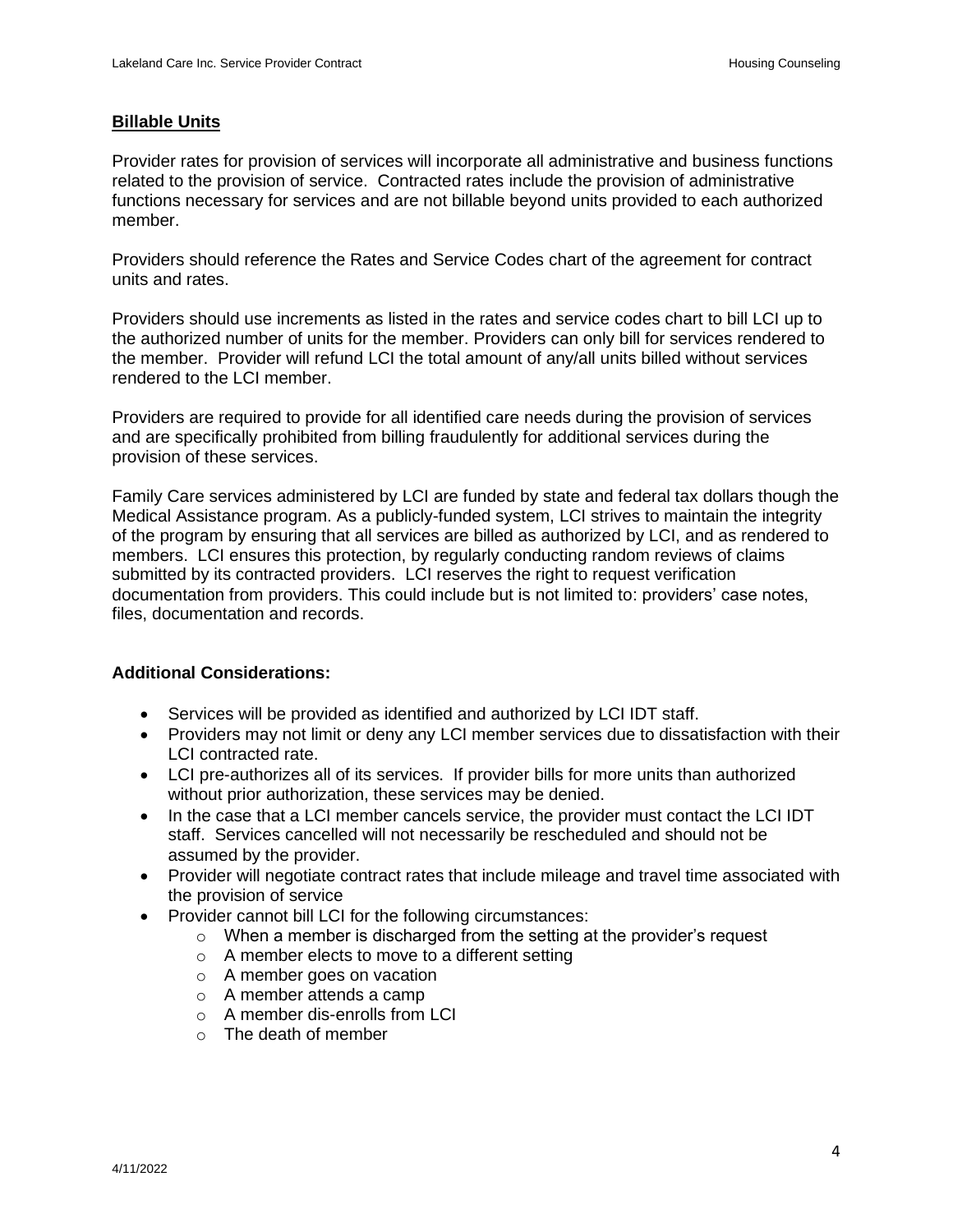#### **Billable Units**

Provider rates for provision of services will incorporate all administrative and business functions related to the provision of service. Contracted rates include the provision of administrative functions necessary for services and are not billable beyond units provided to each authorized member.

Providers should reference the Rates and Service Codes chart of the agreement for contract units and rates.

Providers should use increments as listed in the rates and service codes chart to bill LCI up to the authorized number of units for the member. Providers can only bill for services rendered to the member. Provider will refund LCI the total amount of any/all units billed without services rendered to the LCI member.

Providers are required to provide for all identified care needs during the provision of services and are specifically prohibited from billing fraudulently for additional services during the provision of these services.

Family Care services administered by LCI are funded by state and federal tax dollars though the Medical Assistance program. As a publicly-funded system, LCI strives to maintain the integrity of the program by ensuring that all services are billed as authorized by LCI, and as rendered to members. LCI ensures this protection, by regularly conducting random reviews of claims submitted by its contracted providers. LCI reserves the right to request verification documentation from providers. This could include but is not limited to: providers' case notes, files, documentation and records.

#### **Additional Considerations:**

- Services will be provided as identified and authorized by LCI IDT staff.
- Providers may not limit or deny any LCI member services due to dissatisfaction with their LCI contracted rate.
- LCI pre-authorizes all of its services. If provider bills for more units than authorized without prior authorization, these services may be denied.
- In the case that a LCI member cancels service, the provider must contact the LCI IDT staff. Services cancelled will not necessarily be rescheduled and should not be assumed by the provider.
- Provider will negotiate contract rates that include mileage and travel time associated with the provision of service
- Provider cannot bill LCI for the following circumstances:
	- $\circ$  When a member is discharged from the setting at the provider's request
	- o A member elects to move to a different setting
	- o A member goes on vacation
	- o A member attends a camp
	- $\circ$  A member dis-enrolls from LCI
	- o The death of member